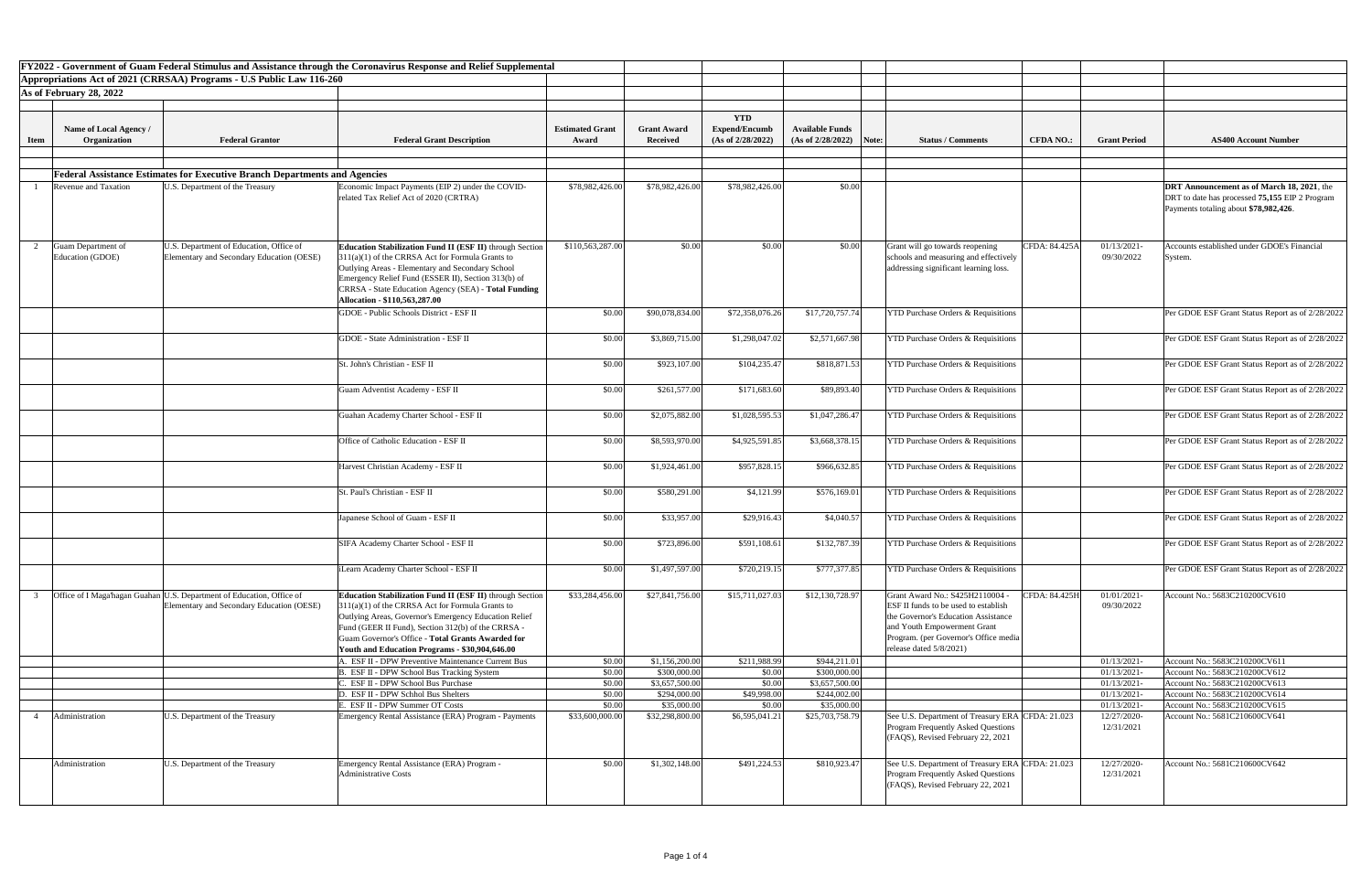|             |                                        |                                                                                                                    | <b>FY2022 - Government of Guam Federal Stimulus and Assistance through the Coronavirus Response and Relief Supplemental</b>                                                                                                                                                                                                                        |                        |                             |                       |                             |                                                                                                                                                                                                                         |                  |                            |                                                                                                                                              |
|-------------|----------------------------------------|--------------------------------------------------------------------------------------------------------------------|----------------------------------------------------------------------------------------------------------------------------------------------------------------------------------------------------------------------------------------------------------------------------------------------------------------------------------------------------|------------------------|-----------------------------|-----------------------|-----------------------------|-------------------------------------------------------------------------------------------------------------------------------------------------------------------------------------------------------------------------|------------------|----------------------------|----------------------------------------------------------------------------------------------------------------------------------------------|
|             |                                        | Appropriations Act of 2021 (CRRSAA) Programs - U.S Public Law 116-260                                              |                                                                                                                                                                                                                                                                                                                                                    |                        |                             |                       |                             |                                                                                                                                                                                                                         |                  |                            |                                                                                                                                              |
|             | As of February 28, 2022                |                                                                                                                    |                                                                                                                                                                                                                                                                                                                                                    |                        |                             |                       |                             |                                                                                                                                                                                                                         |                  |                            |                                                                                                                                              |
|             |                                        |                                                                                                                    |                                                                                                                                                                                                                                                                                                                                                    |                        |                             |                       |                             |                                                                                                                                                                                                                         |                  |                            |                                                                                                                                              |
|             |                                        |                                                                                                                    |                                                                                                                                                                                                                                                                                                                                                    |                        |                             | <b>YTD</b>            |                             |                                                                                                                                                                                                                         |                  |                            |                                                                                                                                              |
|             | Name of Local Agency /                 |                                                                                                                    |                                                                                                                                                                                                                                                                                                                                                    | <b>Estimated Grant</b> | <b>Grant Award</b>          | <b>Expend/Encumb</b>  | <b>Available Funds</b>      |                                                                                                                                                                                                                         |                  |                            |                                                                                                                                              |
| <b>Item</b> | Organization                           | <b>Federal Grantor</b>                                                                                             | <b>Federal Grant Description</b>                                                                                                                                                                                                                                                                                                                   | Award                  | <b>Received</b>             | (As of 2/28/2022)     | (As of 2/28/2022)           | Note:<br><b>Status / Comments</b>                                                                                                                                                                                       | <b>CFDA NO.:</b> | <b>Grant Period</b>        | <b>AS400 Account Number</b>                                                                                                                  |
|             |                                        |                                                                                                                    |                                                                                                                                                                                                                                                                                                                                                    |                        |                             |                       |                             |                                                                                                                                                                                                                         |                  |                            |                                                                                                                                              |
|             |                                        |                                                                                                                    |                                                                                                                                                                                                                                                                                                                                                    |                        |                             |                       |                             |                                                                                                                                                                                                                         |                  |                            |                                                                                                                                              |
|             |                                        | <b>Federal Assistance Estimates for Executive Branch Departments and Agencies</b>                                  |                                                                                                                                                                                                                                                                                                                                                    |                        |                             |                       |                             |                                                                                                                                                                                                                         |                  |                            |                                                                                                                                              |
|             | <b>Revenue and Taxation</b>            | J.S. Department of the Treasury                                                                                    | Economic Impact Payments (EIP 2) under the COVID-<br>related Tax Relief Act of 2020 (CRTRA)                                                                                                                                                                                                                                                        | \$78,982,426.00        | \$78,982,426.00             | \$78,982,426.00       | \$0.00                      |                                                                                                                                                                                                                         |                  |                            | <b>DRT Announcement as of March 18, 2021, the</b><br>DRT to date has processed 75,155 EIP 2 Program<br>Payments totaling about \$78,982,426. |
|             | Guam Department of<br>Education (GDOE) | J.S. Department of Education, Office of<br>Elementary and Secondary Education (OESE)                               | <b>Education Stabilization Fund II (ESF II)</b> through Section<br>$311(a)(1)$ of the CRRSA Act for Formula Grants to<br><b>Outlying Areas - Elementary and Secondary School</b><br>Emergency Relief Fund (ESSER II), Section 313(b) of<br>CRRSA - State Education Agency (SEA) - Total Funding                                                    | \$110,563,287.00       | \$0.00                      | \$0.00                | \$0.00                      | Grant will go towards reopening<br>schools and measuring and effectively<br>addressing significant learning loss.                                                                                                       | CFDA: 84.425A    | 01/13/2021-<br>09/30/2022  | Accounts established under GDOE's Financial<br>System.                                                                                       |
|             |                                        |                                                                                                                    | Allocation - \$110,563,287.00<br>GDOE - Public Schools District - ESF II                                                                                                                                                                                                                                                                           | \$0.00                 |                             | \$72,358,076.26       |                             |                                                                                                                                                                                                                         |                  |                            |                                                                                                                                              |
|             |                                        |                                                                                                                    |                                                                                                                                                                                                                                                                                                                                                    |                        | \$90,078,834.00             |                       | \$17,720,757.74             | <b>YTD Purchase Orders &amp; Requisitions</b>                                                                                                                                                                           |                  |                            | Per GDOE ESF Grant Status Report as of 2/28/2022                                                                                             |
|             |                                        |                                                                                                                    | GDOE - State Administration - ESF II                                                                                                                                                                                                                                                                                                               | \$0.00                 | \$3,869,715.00              | \$1,298,047.02        | \$2,571,667.98              | <b>YTD Purchase Orders &amp; Requisitions</b>                                                                                                                                                                           |                  |                            | Per GDOE ESF Grant Status Report as of 2/28/2022                                                                                             |
|             |                                        |                                                                                                                    | St. John's Christian - ESF II                                                                                                                                                                                                                                                                                                                      | \$0.00                 | \$923,107.00                | \$104,235.47          | \$818,871.53                | <b>YTD Purchase Orders &amp; Requisitions</b>                                                                                                                                                                           |                  |                            | Per GDOE ESF Grant Status Report as of 2/28/2022                                                                                             |
|             |                                        |                                                                                                                    | <b>Guam Adventist Academy - ESF II</b>                                                                                                                                                                                                                                                                                                             | \$0.00                 | \$261,577.00                | \$171,683.60          | \$89,893.40                 | <b>YTD Purchase Orders &amp; Requisitions</b>                                                                                                                                                                           |                  |                            | Per GDOE ESF Grant Status Report as of 2/28/2022                                                                                             |
|             |                                        |                                                                                                                    | Guahan Academy Charter School - ESF II                                                                                                                                                                                                                                                                                                             | \$0.00                 | \$2,075,882.00              | \$1,028,595.53        | \$1,047,286.47              | <b>YTD Purchase Orders &amp; Requisitions</b>                                                                                                                                                                           |                  |                            | Per GDOE ESF Grant Status Report as of 2/28/2022                                                                                             |
|             |                                        |                                                                                                                    | Office of Catholic Education - ESF II                                                                                                                                                                                                                                                                                                              | \$0.00                 | \$8,593,970.00              | \$4,925,591.85        | \$3,668,378.15              | <b>YTD Purchase Orders &amp; Requisitions</b>                                                                                                                                                                           |                  |                            | Per GDOE ESF Grant Status Report as of 2/28/2022                                                                                             |
|             |                                        |                                                                                                                    | Harvest Christian Academy - ESF II                                                                                                                                                                                                                                                                                                                 | \$0.00                 | \$1,924,461.00              | \$957,828.15          | \$966,632.85                | <b>YTD Purchase Orders &amp; Requisitions</b>                                                                                                                                                                           |                  |                            | Per GDOE ESF Grant Status Report as of 2/28/2022                                                                                             |
|             |                                        |                                                                                                                    | St. Paul's Christian - ESF II                                                                                                                                                                                                                                                                                                                      | \$0.00                 | \$580,291.00                | \$4,121.99            | \$576,169.01                | <b>YTD Purchase Orders &amp; Requisitions</b>                                                                                                                                                                           |                  |                            | Per GDOE ESF Grant Status Report as of 2/28/2022                                                                                             |
|             |                                        |                                                                                                                    | Japanese School of Guam - ESF II                                                                                                                                                                                                                                                                                                                   | \$0.0                  | \$33,957.00                 | \$29,916.43           | \$4,040.57                  | <b>YTD Purchase Orders &amp; Requisitions</b>                                                                                                                                                                           |                  |                            | Per GDOE ESF Grant Status Report as of 2/28/2022                                                                                             |
|             |                                        |                                                                                                                    | SIFA Academy Charter School - ESF II                                                                                                                                                                                                                                                                                                               | \$0.00                 | \$723,896.00                | \$591,108.61          | \$132,787.39                | <b>YTD Purchase Orders &amp; Requisitions</b>                                                                                                                                                                           |                  |                            | Per GDOE ESF Grant Status Report as of 2/28/2022                                                                                             |
|             |                                        |                                                                                                                    | iLearn Academy Charter School - ESF II                                                                                                                                                                                                                                                                                                             | \$0.00                 | \$1,497,597.00              | \$720,219.15          | \$777,377.85                | <b>YTD Purchase Orders &amp; Requisitions</b>                                                                                                                                                                           |                  |                            | Per GDOE ESF Grant Status Report as of 2/28/2022                                                                                             |
|             |                                        | Office of I Maga'hagan Guahan U.S. Department of Education, Office of<br>Elementary and Secondary Education (OESE) | <b>Education Stabilization Fund II (ESF II)</b> through Section<br>$311(a)(1)$ of the CRRSA Act for Formula Grants to<br>Outlying Areas, Governor's Emergency Education Relief<br>Fund (GEER II Fund), Section 312(b) of the CRRSA -<br><b>Guam Governor's Office - Total Grants Awarded for</b><br>Youth and Education Programs - \$30,904,646.00 | \$33,284,456.00        | \$27,841,756.00             | \$15,711,027.03       | \$12,130,728.97             | Grant Award No.: S425H2110004<br><b>ESF II funds to be used to establish</b><br>the Governor's Education Assistance<br>and Youth Empowerment Grant<br>Program. (per Governor's Office media)<br>release dated 5/8/2021) | CFDA: 84.425H    | 01/01/2021-<br>09/30/2022  | Account No.: 5683C210200CV610                                                                                                                |
|             |                                        |                                                                                                                    | . ESF II - DPW Preventive Maintenance Current Bus                                                                                                                                                                                                                                                                                                  | \$0.00                 | \$1,156,200.00              | \$211,988.99          | \$944,211.01                |                                                                                                                                                                                                                         |                  | 01/13/2021-                | Account No.: 5683C210200CV611                                                                                                                |
|             |                                        |                                                                                                                    | . ESF II - DPW School Bus Tracking System                                                                                                                                                                                                                                                                                                          | \$0.00                 | \$300,000.00                | \$0.00                | \$300,000.00                |                                                                                                                                                                                                                         |                  | 01/13/2021-                | Account No.: 5683C210200CV612                                                                                                                |
|             |                                        |                                                                                                                    | <b>ESF II - DPW School Bus Purchase</b>                                                                                                                                                                                                                                                                                                            | \$0.0                  | \$3,657,500.00              | \$0.00                | \$3,657,500.00              |                                                                                                                                                                                                                         |                  | 01/13/2021-                | Account No.: 5683C210200CV613                                                                                                                |
|             |                                        |                                                                                                                    | D. ESF II - DPW Schhol Bus Shelters<br><b>ESF II - DPW Summer OT Costs</b>                                                                                                                                                                                                                                                                         | \$0.00<br>\$0.00       | \$294,000.00<br>\$35,000.00 | \$49,998.00<br>\$0.00 | \$244,002.00<br>\$35,000.00 |                                                                                                                                                                                                                         |                  | 01/13/2021-<br>01/13/2021- | Account No.: 5683C210200CV614<br>Account No.: 5683C210200CV615                                                                               |
|             | Administration                         | U.S. Department of the Treasury                                                                                    | Emergency Rental Assistance (ERA) Program - Payments                                                                                                                                                                                                                                                                                               | \$33,600,000.00        | \$32,298,800.00             | \$6,595,041.21        | \$25,703,758.79             | See U.S. Department of Treasury ERA CFDA: 21.023<br><b>Program Frequently Asked Questions</b><br>(FAQS), Revised February 22, 2021                                                                                      |                  | 12/27/2020-<br>12/31/2021  | Account No.: 5681C210600CV641                                                                                                                |
|             | Administration                         | U.S. Department of the Treasury                                                                                    | Emergency Rental Assistance (ERA) Program -<br><b>Administrative Costs</b>                                                                                                                                                                                                                                                                         | \$0.00                 | \$1,302,148.00              | \$491,224.53          | \$810,923.47                | See U.S. Department of Treasury ERA CFDA: 21.023<br>Program Frequently Asked Questions<br>(FAQS), Revised February 22, 2021                                                                                             |                  | 12/27/2020-<br>12/31/2021  | Account No.: 5681C210600CV642                                                                                                                |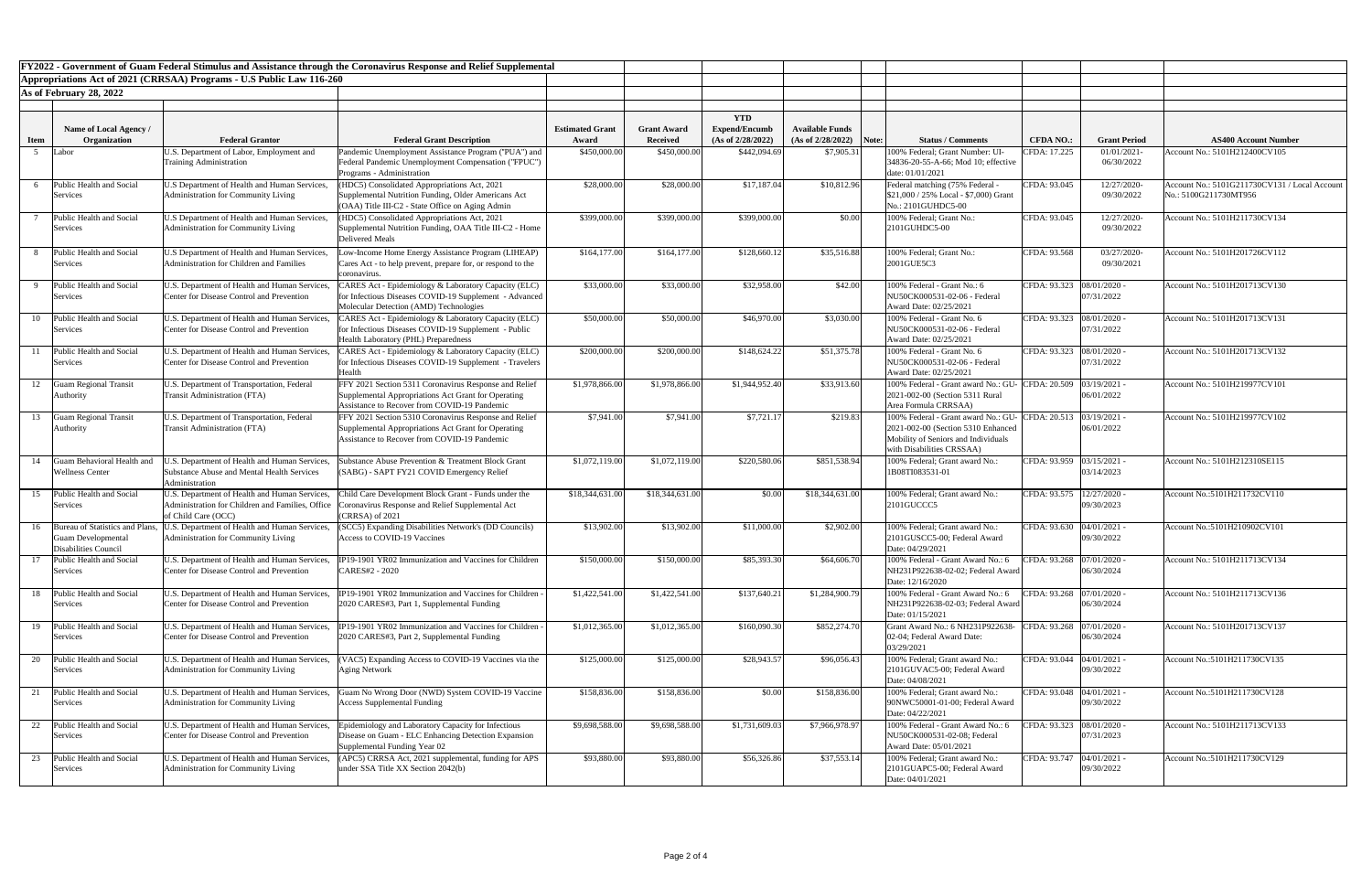| FY2022 - Government of Guam Federal Stimulus and Assistance through the Coronavirus Response and Relief Supplemental |                                                                                         |                                                                                                                              |                                                                                                                                                   |                        |                    |                      |                        |       |                                                                                                        |                             |                              |                                               |
|----------------------------------------------------------------------------------------------------------------------|-----------------------------------------------------------------------------------------|------------------------------------------------------------------------------------------------------------------------------|---------------------------------------------------------------------------------------------------------------------------------------------------|------------------------|--------------------|----------------------|------------------------|-------|--------------------------------------------------------------------------------------------------------|-----------------------------|------------------------------|-----------------------------------------------|
|                                                                                                                      |                                                                                         | Appropriations Act of 2021 (CRRSAA) Programs - U.S Public Law 116-260                                                        |                                                                                                                                                   |                        |                    |                      |                        |       |                                                                                                        |                             |                              |                                               |
|                                                                                                                      | As of February 28, 2022                                                                 |                                                                                                                              |                                                                                                                                                   |                        |                    |                      |                        |       |                                                                                                        |                             |                              |                                               |
|                                                                                                                      |                                                                                         |                                                                                                                              |                                                                                                                                                   |                        |                    |                      |                        |       |                                                                                                        |                             |                              |                                               |
|                                                                                                                      |                                                                                         |                                                                                                                              |                                                                                                                                                   |                        |                    | <b>YTD</b>           |                        |       |                                                                                                        |                             |                              |                                               |
|                                                                                                                      | Name of Local Agency /                                                                  |                                                                                                                              |                                                                                                                                                   | <b>Estimated Grant</b> | <b>Grant Award</b> | <b>Expend/Encumb</b> | <b>Available Funds</b> |       |                                                                                                        |                             |                              |                                               |
| <b>Item</b>                                                                                                          | Organization                                                                            | <b>Federal Grantor</b>                                                                                                       | <b>Federal Grant Description</b>                                                                                                                  | Award                  | Received           | (As of 2/28/2022)    | (As of 2/28/2022)      | Note: | <b>Status / Comments</b>                                                                               | <b>CFDA NO.:</b>            | <b>Grant Period</b>          | <b>AS400 Account Number</b>                   |
|                                                                                                                      | Labor                                                                                   | U.S. Department of Labor, Employment and<br><b>Training Administration</b>                                                   | Pandemic Unemployment Assistance Program ("PUA") and                                                                                              | \$450,000.00           | \$450,000.00       | \$442,094.69         | \$7,905.31             |       | 100% Federal; Grant Number: UI-                                                                        | CFDA: 17.225                | 01/01/2021-<br>06/30/2022    | Account No.: 5101H212400CV105                 |
|                                                                                                                      |                                                                                         |                                                                                                                              | Federal Pandemic Unemployment Compensation ("FPUC")<br><b>Programs</b> - Administration                                                           |                        |                    |                      |                        |       | 34836-20-55-A-66; Mod 10; effective<br>date: 01/01/2021                                                |                             |                              |                                               |
|                                                                                                                      | Public Health and Social                                                                | U.S Department of Health and Human Services,                                                                                 | HDC5) Consolidated Appropriations Act, 2021                                                                                                       | \$28,000.00            | \$28,000.00        | \$17,187.04          | \$10,812.96            |       | Federal matching (75% Federal                                                                          | CFDA: 93.045                | 12/27/2020-                  | Account No.: 5101G211730CV131 / Local Account |
|                                                                                                                      | Services                                                                                | Administration for Community Living                                                                                          | Supplemental Nutrition Funding, Older Americans Act<br>(OAA) Title III-C2 - State Office on Aging Admin                                           |                        |                    |                      |                        |       | $$21,000 / 25\%$ Local - \$7,000) Grant<br>No.: 2101GUHDC5-00                                          |                             | 09/30/2022                   | No.: 5100G211730MT956                         |
|                                                                                                                      | Public Health and Social<br>Services                                                    | U.S Department of Health and Human Services,<br>Administration for Community Living                                          | HDC5) Consolidated Appropriations Act, 2021<br>Supplemental Nutrition Funding, OAA Title III-C2 - Home<br>Delivered Meals                         | \$399,000.00           | \$399,000.00       | \$399,000.00         | \$0.00                 |       | 100% Federal; Grant No.:<br>2101GUHDC5-00                                                              | CFDA: 93.045                | 12/27/2020-<br>09/30/2022    | Account No.: 5101H211730CV134                 |
|                                                                                                                      | Public Health and Social<br>Services                                                    | U.S Department of Health and Human Services,<br>Administration for Children and Families                                     | Low-Income Home Energy Assistance Program (LIHEAP)<br>Cares Act - to help prevent, prepare for, or respond to the<br>coronavirus.                 | \$164,177.00           | \$164,177.00       | \$128,660.12         | \$35,516.88            |       | 100% Federal; Grant No.:<br>2001GUE5C3                                                                 | CFDA: 93.568                | 03/27/2020-<br>09/30/2021    | Account No.: 5101H201726CV112                 |
|                                                                                                                      | Public Health and Social                                                                | U.S. Department of Health and Human Services,                                                                                | ARES Act - Epidemiology & Laboratory Capacity (ELC)                                                                                               | \$33,000.00            | \$33,000.00        | \$32,958.00          | \$42.00                |       | 100% Federal - Grant No.: 6                                                                            | CFDA: 93.323  08/01/2020 -  |                              | Account No.: 5101H201713CV130                 |
|                                                                                                                      | Services                                                                                | Center for Disease Control and Prevention                                                                                    | for Infectious Diseases COVID-19 Supplement - Advanced<br>Molecular Detection (AMD) Technologies                                                  |                        |                    |                      |                        |       | NU50CK000531-02-06 - Federal<br>Award Date: 02/25/2021                                                 |                             | 07/31/2022                   |                                               |
| 10                                                                                                                   | Public Health and Social                                                                | U.S. Department of Health and Human Services,                                                                                | CARES Act - Epidemiology & Laboratory Capacity (ELC)                                                                                              | \$50,000.00            | \$50,000.00        | \$46,970.00          | \$3,030.00             |       | 100% Federal - Grant No. 6                                                                             | CFDA: 93.323  08/01/2020 -  |                              | Account No.: 5101H201713CV131                 |
|                                                                                                                      | Services                                                                                | Center for Disease Control and Prevention                                                                                    | for Infectious Diseases COVID-19 Supplement - Public<br>Health Laboratory (PHL) Preparedness                                                      |                        |                    |                      |                        |       | NU50CK000531-02-06 - Federal<br>Award Date: 02/25/2021                                                 |                             | 07/31/2022                   |                                               |
|                                                                                                                      | Public Health and Social                                                                | U.S. Department of Health and Human Services,                                                                                | CARES Act - Epidemiology & Laboratory Capacity (ELC)                                                                                              | \$200,000.00           | \$200,000.00       | \$148,624.22         | \$51,375.78            |       | 100% Federal - Grant No. 6                                                                             | CFDA: 93.323   08/01/2020 - |                              | Account No.: 5101H201713CV132                 |
|                                                                                                                      | Services                                                                                | Center for Disease Control and Prevention                                                                                    | for Infectious Diseases COVID-19 Supplement - Travelers<br>Health                                                                                 |                        |                    |                      |                        |       | NU50CK000531-02-06 - Federal<br>Award Date: 02/25/2021                                                 |                             | 07/31/2022                   |                                               |
| 12                                                                                                                   | <b>Guam Regional Transit</b>                                                            | U.S. Department of Transportation, Federal                                                                                   | FFY 2021 Section 5311 Coronavirus Response and Relief                                                                                             | \$1,978,866.00         | \$1,978,866.00     | \$1,944,952.40       | \$33,913.60            |       | 100% Federal - Grant award No.: GU- CFDA: 20.509 03/19/2021 -                                          |                             |                              | Account No.: 5101H219977CV101                 |
|                                                                                                                      | Authority                                                                               | <b>Transit Administration (FTA)</b>                                                                                          | Supplemental Appropriations Act Grant for Operating<br>Assistance to Recover from COVID-19 Pandemic                                               |                        |                    |                      |                        |       | 2021-002-00 (Section 5311 Rural<br>Area Formula CRRSAA)                                                |                             | 06/01/2022                   |                                               |
| 13                                                                                                                   | <b>Guam Regional Transit</b>                                                            | U.S. Department of Transportation, Federal                                                                                   | FFY 2021 Section 5310 Coronavirus Response and Relief                                                                                             | \$7,941.00             | \$7,941.00         | \$7,721.17           | \$219.83               |       | 100% Federal - Grant award No.: GU- CFDA: 20.513                                                       |                             | 03/19/2021                   | Account No.: 5101H219977CV102                 |
|                                                                                                                      | Authority                                                                               | Transit Administration (FTA)                                                                                                 | Supplemental Appropriations Act Grant for Operating<br><b>Assistance to Recover from COVID-19 Pandemic</b>                                        |                        |                    |                      |                        |       | 2021-002-00 (Section 5310 Enhanced<br>Mobility of Seniors and Individuals<br>with Disabilities CRSSAA) |                             | 06/01/2022                   |                                               |
| 14                                                                                                                   | Guam Behavioral Health and<br><b>Wellness Center</b>                                    | .S. Department of Health and Human Services,<br>Substance Abuse and Mental Health Services<br>Administration                 | Substance Abuse Prevention & Treatment Block Grant<br>(SABG) - SAPT FY21 COVID Emergency Relief                                                   | \$1,072,119.00         | \$1,072,119.00     | \$220,580.06         | \$851,538.94           |       | 100% Federal; Grant award No.:<br>1B08TI083531-01                                                      | CFDA: 93.959 03/15/2021 -   | 03/14/2023                   | Account No.: 5101H212310SE115                 |
|                                                                                                                      | 15 Public Health and Social<br>Services                                                 | U.S. Department of Health and Human Services,<br>Administration for Children and Families, Office   C<br>of Child Care (OCC) | Child Care Development Block Grant - Funds under the<br>Coronavirus Response and Relief Supplemental Act<br>CRRSA) of 2021                        | \$18,344,631.00        | \$18,344,631.00    | \$0.00               | \$18,344,631.00        |       | 100% Federal; Grant award No.:<br>2101GUCCC5                                                           | CFDA: 93.575                | $12/27/2020$ -<br>09/30/2023 | Account No.:5101H211732CV110                  |
|                                                                                                                      | 16 Bureau of Statistics and Plans,<br><b>Guam Developmental</b><br>Disabilities Council | J.S. Department of Health and Human Services,<br>Administration for Community Living                                         | (SCC5) Expanding Disabilities Network's (DD Councils)<br>Access to COVID-19 Vaccines                                                              | \$13,902.00            | \$13,902.00        | \$11,000.00          | \$2,902.00             |       | 100% Federal; Grant award No.:<br>2101GUSCC5-00; Federal Award<br>Date: 04/29/2021                     | CFDA: 93.630 04/01/2021 -   | 09/30/2022                   | Account No.:5101H210902CV101                  |
|                                                                                                                      | Public Health and Social                                                                | U.S. Department of Health and Human Services,                                                                                | IP19-1901 YR02 Immunization and Vaccines for Children                                                                                             | \$150,000.00           | \$150,000.00       | \$85,393.30          | \$64,606.70            |       | 100% Federal - Grant Award No.: 6                                                                      | CFDA: 93.268 07/01/2020 -   |                              | Account No.: 5101H211713CV134                 |
|                                                                                                                      | Services                                                                                | Center for Disease Control and Prevention                                                                                    | CARES#2 - 2020                                                                                                                                    |                        |                    |                      |                        |       | NH231P922638-02-02; Federal Award<br>Date: 12/16/2020                                                  |                             | 06/30/2024                   |                                               |
| 18                                                                                                                   | Public Health and Social<br>Services                                                    | U.S. Department of Health and Human Services,<br>Center for Disease Control and Prevention                                   | IP19-1901 YR02 Immunization and Vaccines for Children<br>2020 CARES#3, Part 1, Supplemental Funding                                               | \$1,422,541.00         | \$1,422,541.00     | \$137,640.21         | \$1,284,900.79         |       | 100% Federal - Grant Award No.: 6<br>NH231P922638-02-03; Federal Award<br>Date: 01/15/2021             | CFDA: 93.268 07/01/2020 -   | 06/30/2024                   | Account No.: 5101H211713CV136                 |
|                                                                                                                      | 19 Public Health and Social<br>Services                                                 | U.S. Department of Health and Human Services,<br><b>Center for Disease Control and Prevention</b>                            | IP19-1901 YR02 Immunization and Vaccines for Children<br>2020 CARES#3, Part 2, Supplemental Funding                                               | \$1,012,365.00         | \$1,012,365.00     | \$160,090.30         | \$852,274.70           |       | Grant Award No.: 6 NH231P922638-<br>[02-04; Federal Award Date:<br>03/29/2021                          | CFDA: 93.268 07/01/2020 -   | 06/30/2024                   | Account No.: 5101H201713CV137                 |
|                                                                                                                      | Public Health and Social                                                                | U.S. Department of Health and Human Services,                                                                                | (VAC5) Expanding Access to COVID-19 Vaccines via the                                                                                              | \$125,000.00           | \$125,000.00       | \$28,943.57          | \$96,056.43            |       | 100% Federal; Grant award No.:                                                                         | CFDA: 93.044                | $04/01/2021$ -               | Account No.:5101H211730CV135                  |
|                                                                                                                      | Services                                                                                | Administration for Community Living                                                                                          | <b>Aging Network</b>                                                                                                                              |                        |                    |                      |                        |       | 2101GUVAC5-00; Federal Award<br>Date: 04/08/2021                                                       |                             | 09/30/2022                   |                                               |
|                                                                                                                      | 21 Public Health and Social<br>Services                                                 | U.S. Department of Health and Human Services,<br>Administration for Community Living                                         | Guam No Wrong Door (NWD) System COVID-19 Vaccine<br><b>Access Supplemental Funding</b>                                                            | \$158,836.00           | \$158,836.00       | \$0.00               | \$158,836.00           |       | 100% Federal; Grant award No.:<br>90NWC50001-01-00; Federal Award<br>Date: 04/22/2021                  | CFDA: 93.048 04/01/2021 -   | 09/30/2022                   | Account No.:5101H211730CV128                  |
|                                                                                                                      | 22 Public Health and Social<br>Services                                                 | U.S. Department of Health and Human Services,<br>Center for Disease Control and Prevention                                   | <b>Epidemiology and Laboratory Capacity for Infectious</b><br>Disease on Guam - ELC Enhancing Detection Expansion<br>Supplemental Funding Year 02 | \$9,698,588.00         | \$9,698,588.00     | \$1,731,609.03       | \$7,966,978.97         |       | 100% Federal - Grant Award No.: 6<br>NU50CK000531-02-08; Federal<br>Award Date: 05/01/2021             | CFDA: 93.323  08/01/2020 -  | 07/31/2023                   | Account No.: 5101H211713CV133                 |
| 23                                                                                                                   | Public Health and Social<br>Services                                                    | U.S. Department of Health and Human Services,<br>Administration for Community Living                                         | APC5) CRRSA Act, 2021 supplemental, funding for APS<br>under SSA Title XX Section 2042(b)                                                         | \$93,880.00            | \$93,880.00        | \$56,326.86          | \$37,553.14            |       | 100% Federal; Grant award No.:<br>2101GUAPC5-00; Federal Award<br>Date: 04/01/2021                     | CFDA: 93.747   04/01/2021 - | 09/30/2022                   | Account No.:5101H211730CV129                  |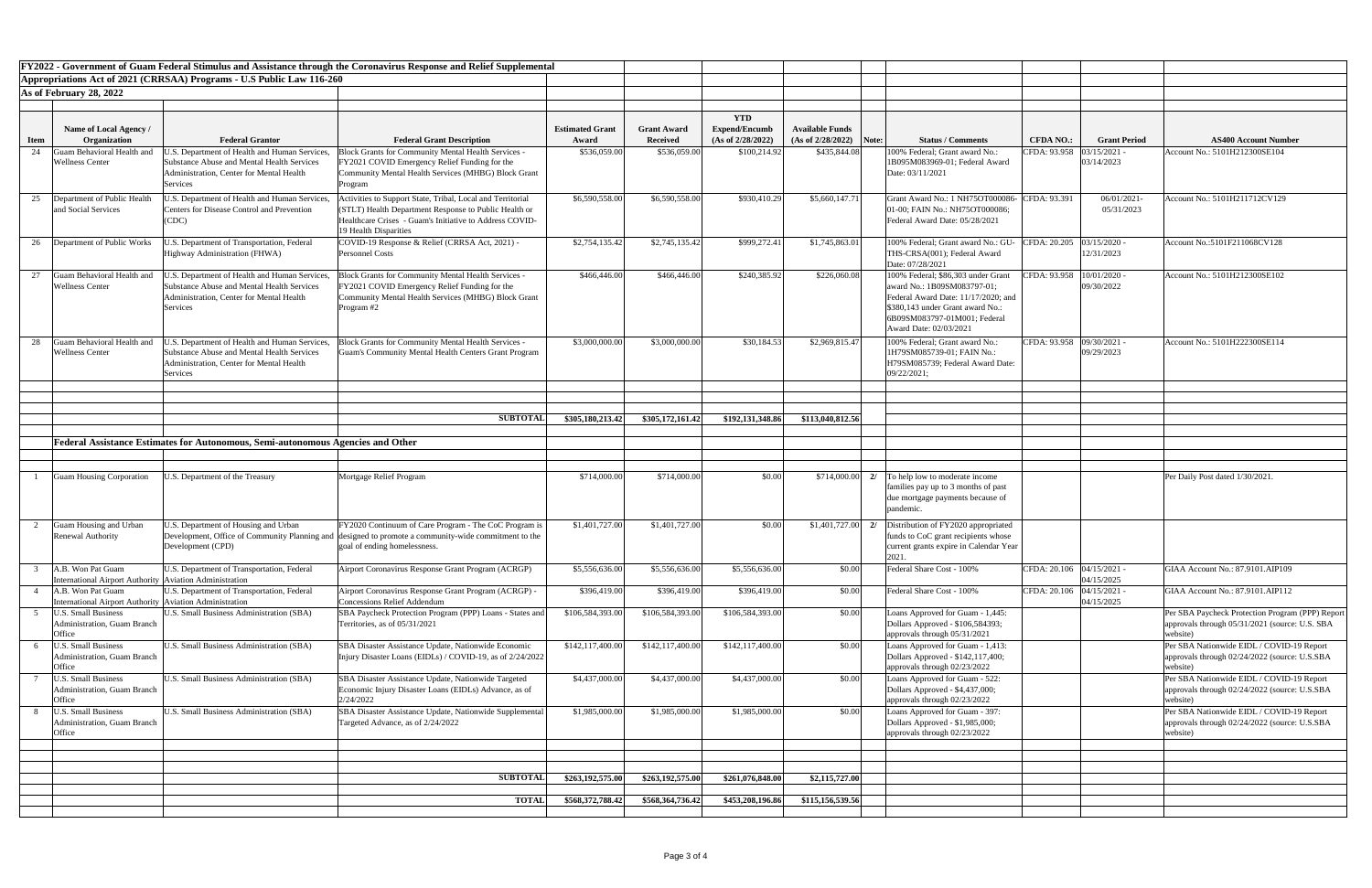| FY2022 - Government of Guam Federal Stimulus and Assistance through the Coronavirus Response and Relief Supplemental<br>Appropriations Act of 2021 (CRRSAA) Programs - U.S Public Law 116-260 |                                                                               |                                                                                                                                                            |                                                                                                                                                                                                         |                        |                    |                      |                                 |                                                                                                                                                                                                        |                             |                              |                                                                                                                |
|-----------------------------------------------------------------------------------------------------------------------------------------------------------------------------------------------|-------------------------------------------------------------------------------|------------------------------------------------------------------------------------------------------------------------------------------------------------|---------------------------------------------------------------------------------------------------------------------------------------------------------------------------------------------------------|------------------------|--------------------|----------------------|---------------------------------|--------------------------------------------------------------------------------------------------------------------------------------------------------------------------------------------------------|-----------------------------|------------------------------|----------------------------------------------------------------------------------------------------------------|
|                                                                                                                                                                                               | As of February 28, 2022                                                       |                                                                                                                                                            |                                                                                                                                                                                                         |                        |                    |                      |                                 |                                                                                                                                                                                                        |                             |                              |                                                                                                                |
|                                                                                                                                                                                               |                                                                               |                                                                                                                                                            |                                                                                                                                                                                                         |                        |                    |                      |                                 |                                                                                                                                                                                                        |                             |                              |                                                                                                                |
|                                                                                                                                                                                               |                                                                               |                                                                                                                                                            |                                                                                                                                                                                                         |                        |                    | <b>YTD</b>           |                                 |                                                                                                                                                                                                        |                             |                              |                                                                                                                |
|                                                                                                                                                                                               | Name of Local Agency /                                                        |                                                                                                                                                            |                                                                                                                                                                                                         | <b>Estimated Grant</b> | <b>Grant Award</b> | <b>Expend/Encumb</b> | <b>Available Funds</b>          |                                                                                                                                                                                                        |                             |                              |                                                                                                                |
| <b>Item</b>                                                                                                                                                                                   | Organization                                                                  | <b>Federal Grantor</b>                                                                                                                                     | <b>Federal Grant Description</b>                                                                                                                                                                        | Award                  | <b>Received</b>    | (As of 2/28/2022)    | $(As of 2/28/2022)$ Note:       | <b>Status / Comments</b>                                                                                                                                                                               | <b>CFDA NO.:</b>            | <b>Grant Period</b>          | <b>AS400 Account Number</b>                                                                                    |
| 24                                                                                                                                                                                            | uam Behavioral Health and<br><b>Wellness Center</b>                           | .S. Department of Health and Human Services,<br>Substance Abuse and Mental Health Services<br>Administration, Center for Mental Health<br>Services         | <b>Block Grants for Community Mental Health Services -</b><br>FY2021 COVID Emergency Relief Funding for the<br>Community Mental Health Services (MHBG) Block Grant<br>Program                           | \$536,059.00           | \$536,059.00       | \$100,214.92         | \$435,844.08                    | 100% Federal; Grant award No.:<br>1B095M083969-01; Federal Award<br>Date: 03/11/2021                                                                                                                   | CFDA: 93.958                | $03/15/2021$ -<br>03/14/2023 | Account No.: 5101H212300SE104                                                                                  |
| 25                                                                                                                                                                                            | Department of Public Health<br>and Social Services                            | J.S. Department of Health and Human Services,<br><b>Centers for Disease Control and Prevention</b><br>(CDC)                                                | Activities to Support State, Tribal, Local and Territorial<br>(STLT) Health Department Response to Public Health or<br>Healthcare Crises - Guam's Initiative to Address COVID-<br>19 Health Disparities | \$6,590,558.00         | \$6,590,558.00     | \$930,410.29         | \$5,660,147.71                  | Grant Award No.: 1 NH75OT000086- CFDA: 93.391<br>01-00; FAIN No.: NH75OT000086;<br>Federal Award Date: 05/28/2021                                                                                      |                             | 06/01/2021<br>05/31/2023     | Account No.: 5101H211712CV129                                                                                  |
| 26                                                                                                                                                                                            | Department of Public Works                                                    | J.S. Department of Transportation, Federal<br>Highway Administration (FHWA)                                                                                | COVID-19 Response & Relief (CRRSA Act, 2021) -<br><b>Personnel Costs</b>                                                                                                                                | \$2,754,135.42         | \$2,745,135.42     | \$999,272.41         | \$1,745,863.01                  | 100% Federal; Grant award No.: GU<br>THS-CRSA(001); Federal Award<br>Date: 07/28/2021                                                                                                                  | CFDA: 20.205 03/15/2020 -   | 12/31/2023                   | Account No.:5101F211068CV128                                                                                   |
| 27                                                                                                                                                                                            | uam Behavioral Health and<br><b>Nellness Center</b>                           | J.S. Department of Health and Human Services,<br><b>Substance Abuse and Mental Health Services</b><br>Administration, Center for Mental Health<br>Services | <b>Block Grants for Community Mental Health Services -</b><br>FY2021 COVID Emergency Relief Funding for the<br><b>Community Mental Health Services (MHBG) Block Grant</b><br>Program #2                 | \$466,446.00           | \$466,446.00       | \$240,385.92         | \$226,060.08                    | 100% Federal; \$86,303 under Grant<br>award No.: 1B09SM083797-01;<br>Federal Award Date: 11/17/2020; and<br>\$380,143 under Grant award No.:<br>6B09SM083797-01M001; Federal<br>Award Date: 02/03/2021 | CFDA: 93.958   10/01/2020 - | 09/30/2022                   | Account No.: 5101H212300SE102                                                                                  |
|                                                                                                                                                                                               | uam Behavioral Health and<br>Wellness Center                                  | J.S. Department of Health and Human Services,<br>Substance Abuse and Mental Health Services<br>Administration, Center for Mental Health<br>Services        | Block Grants for Community Mental Health Services -<br><b>Guam's Community Mental Health Centers Grant Program</b>                                                                                      | \$3,000,000.00         | \$3,000,000.00     | \$30,184.53          | \$2,969,815.47                  | 100% Federal; Grant award No.:<br>1H79SM085739-01; FAIN No.:<br>H79SM085739; Federal Award Date:<br>09/22/2021;                                                                                        | CFDA: 93.958 09/30/2021 -   | 09/29/2023                   | Account No.: 5101H222300SE114                                                                                  |
|                                                                                                                                                                                               |                                                                               |                                                                                                                                                            |                                                                                                                                                                                                         |                        |                    |                      |                                 |                                                                                                                                                                                                        |                             |                              |                                                                                                                |
|                                                                                                                                                                                               |                                                                               |                                                                                                                                                            | <b>SUBTOTAL</b>                                                                                                                                                                                         | \$305,180,213.42       | \$305,172,161.42   | \$192,131,348.86     | \$113,040,812.56                |                                                                                                                                                                                                        |                             |                              |                                                                                                                |
|                                                                                                                                                                                               |                                                                               |                                                                                                                                                            |                                                                                                                                                                                                         |                        |                    |                      |                                 |                                                                                                                                                                                                        |                             |                              |                                                                                                                |
|                                                                                                                                                                                               |                                                                               | Federal Assistance Estimates for Autonomous, Semi-autonomous Agencies and Other                                                                            |                                                                                                                                                                                                         |                        |                    |                      |                                 |                                                                                                                                                                                                        |                             |                              |                                                                                                                |
|                                                                                                                                                                                               |                                                                               |                                                                                                                                                            |                                                                                                                                                                                                         |                        |                    |                      |                                 |                                                                                                                                                                                                        |                             |                              |                                                                                                                |
|                                                                                                                                                                                               | <b>Guam Housing Corporation</b>                                               | J.S. Department of the Treasury                                                                                                                            | Mortgage Relief Program                                                                                                                                                                                 | \$714,000.00           | \$714,000.00       | \$0.00               | \$714,000.00<br>21              | To help low to moderate income<br>families pay up to 3 months of past<br>due mortgage payments because of<br>pandemic.                                                                                 |                             |                              | Per Daily Post dated 1/30/2021.                                                                                |
|                                                                                                                                                                                               | <b>Guam Housing and Urban</b><br><b>Renewal Authority</b>                     | J.S. Department of Housing and Urban<br>Development (CPD)                                                                                                  | FY2020 Continuum of Care Program - The CoC Program is<br>Development, Office of Community Planning and designed to promote a community-wide commitment to the<br>goal of ending homelessness.           | \$1,401,727.00         | \$1,401,727.00     | \$0.00               | \$1,401,727.00<br>$\frac{2}{2}$ | Distribution of FY2020 appropriated<br>funds to CoC grant recipients whose<br>current grants expire in Calendar Year<br>2021                                                                           |                             |                              |                                                                                                                |
|                                                                                                                                                                                               | A.B. Won Pat Guam<br>nternational Airport Authority   Aviation Administration | U.S. Department of Transportation, Federal                                                                                                                 | Airport Coronavirus Response Grant Program (ACRGP)                                                                                                                                                      | \$5,556,636.00         | \$5,556,636.00     | \$5,556,636.00       | \$0.00                          | Federal Share Cost - 100%                                                                                                                                                                              | CFDA: 20.106   04/15/2021 - | 04/15/2025                   | GIAA Account No.: 87.9101.AIP109                                                                               |
|                                                                                                                                                                                               | A.B. Won Pat Guam<br>International Airport Authority Aviation Administration  | J.S. Department of Transportation, Federal                                                                                                                 | Airport Coronavirus Response Grant Program (ACRGP) -<br><b>Concessions Relief Addendum</b>                                                                                                              | \$396,419.00           | \$396,419.00       | \$396,419.00         | \$0.00                          | Federal Share Cost - 100%                                                                                                                                                                              | CFDA: 20.106 04/15/2021     | 04/15/2025                   | GIAA Account No.: 87.9101.AIP112                                                                               |
|                                                                                                                                                                                               | <b>J.S. Small Business</b><br>Administration, Guam Branch<br>)ffice           | <b>J.S. Small Business Administration (SBA)</b>                                                                                                            | SBA Paycheck Protection Program (PPP) Loans - States and<br>Territories, as of 05/31/2021                                                                                                               | \$106,584,393.00       | \$106,584,393.00   | \$106,584,393.00     | \$0.00                          | Loans Approved for Guam - 1,445:<br>Dollars Approved - \$106,584393;<br>approvals through 05/31/2021                                                                                                   |                             |                              | Per SBA Paycheck Protection Program (PPP) Report<br>approvals through 05/31/2021 (source: U.S. SBA<br>website) |
|                                                                                                                                                                                               | J.S. Small Business<br><b>Administration, Guam Branch</b><br>Office           | <b>J.S. Small Business Administration (SBA)</b>                                                                                                            | SBA Disaster Assistance Update, Nationwide Economic<br>Injury Disaster Loans (EIDLs) / COVID-19, as of 2/24/2022                                                                                        | \$142, 117, 400.00     | \$142,117,400.00   | \$142,117,400.00     | \$0.00                          | Loans Approved for Guam - 1,413:<br>Dollars Approved - \$142,117,400;<br>approvals through 02/23/2022                                                                                                  |                             |                              | Per SBA Nationwide EIDL / COVID-19 Report<br>approvals through 02/24/2022 (source: U.S.SBA<br>website)         |
|                                                                                                                                                                                               | <b>J.S. Small Business</b><br><b>Administration, Guam Branch</b><br>Office    | <b>J.S. Small Business Administration (SBA)</b>                                                                                                            | SBA Disaster Assistance Update, Nationwide Targeted<br>Economic Injury Disaster Loans (EIDLs) Advance, as of<br>2/24/2022                                                                               | \$4,437,000.00         | \$4,437,000.00     | \$4,437,000.00       | \$0.00                          | Loans Approved for Guam - 522:<br>Dollars Approved - \$4,437,000;<br>approvals through 02/23/2022                                                                                                      |                             |                              | Per SBA Nationwide EIDL / COVID-19 Report<br>approvals through 02/24/2022 (source: U.S.SBA<br>website)         |
|                                                                                                                                                                                               | J.S. Small Business<br>Administration, Guam Branch<br>Office                  | <b>J.S. Small Business Administration (SBA)</b>                                                                                                            | SBA Disaster Assistance Update, Nationwide Supplemental<br>Targeted Advance, as of 2/24/2022                                                                                                            | \$1,985,000.00         | \$1,985,000.00     | \$1,985,000.00       | \$0.00                          | Loans Approved for Guam - 397:<br>Dollars Approved - \$1,985,000;<br>approvals through 02/23/2022                                                                                                      |                             |                              | Per SBA Nationwide EIDL / COVID-19 Report<br>approvals through 02/24/2022 (source: U.S.SBA<br>website)         |
|                                                                                                                                                                                               |                                                                               |                                                                                                                                                            |                                                                                                                                                                                                         |                        |                    |                      |                                 |                                                                                                                                                                                                        |                             |                              |                                                                                                                |
|                                                                                                                                                                                               |                                                                               |                                                                                                                                                            |                                                                                                                                                                                                         |                        |                    |                      |                                 |                                                                                                                                                                                                        |                             |                              |                                                                                                                |
|                                                                                                                                                                                               |                                                                               |                                                                                                                                                            | <b>SUBTOTALI</b>                                                                                                                                                                                        | \$263,192,575.00       | \$263,192,575.00   | \$261,076,848.00     | \$2,115,727.00                  |                                                                                                                                                                                                        |                             |                              |                                                                                                                |
|                                                                                                                                                                                               |                                                                               |                                                                                                                                                            | <b>TOTAL</b>                                                                                                                                                                                            | \$568,372,788.42       | \$568,364,736.42   | \$453,208,196.86     | \$115,156,539.56                |                                                                                                                                                                                                        |                             |                              |                                                                                                                |
|                                                                                                                                                                                               |                                                                               |                                                                                                                                                            |                                                                                                                                                                                                         |                        |                    |                      |                                 |                                                                                                                                                                                                        |                             |                              |                                                                                                                |
|                                                                                                                                                                                               |                                                                               |                                                                                                                                                            |                                                                                                                                                                                                         |                        |                    |                      |                                 |                                                                                                                                                                                                        |                             |                              |                                                                                                                |

| <b>Number</b>                            |
|------------------------------------------|
| 104                                      |
|                                          |
|                                          |
| (129)                                    |
|                                          |
| 128                                      |
| $\overline{102}$                         |
|                                          |
|                                          |
| 114                                      |
|                                          |
|                                          |
|                                          |
|                                          |
|                                          |
|                                          |
|                                          |
|                                          |
|                                          |
|                                          |
|                                          |
|                                          |
|                                          |
| $\overline{IP109}$                       |
| $\overline{IP112}$                       |
|                                          |
| Program (PPP) Report<br>source: U.S. SBA |
| OVID-19 Report<br>source: U.S.SBA        |
| OVID-19 Report                           |
| source: U.S.SBA                          |
| <b>OVID-19 Report</b><br>source: U.S.SBA |
|                                          |
|                                          |
|                                          |
|                                          |
|                                          |
|                                          |